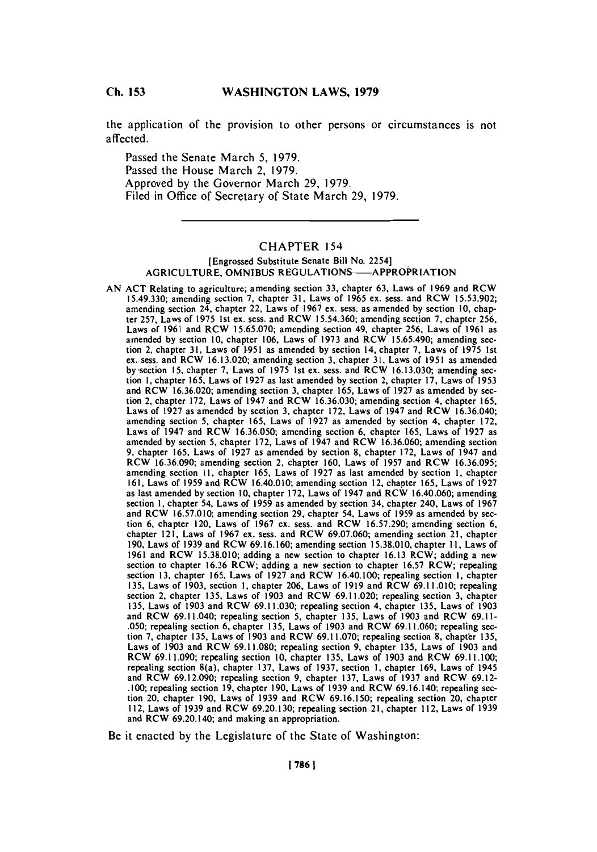**Ch. 153**

## **Ch 153WASHINGTON LAWS, 1979**

the application of the provision to other persons or circumstances is not affected.

Passed the Senate March **5, 1979.** Passed the House March 2, **1979.** Approved **by** the Governor March **29, 1979.** Filed in Office of Secretary of State March **29, 1979.**

# CHAPTER 154

### [Engrossed Substitute Senate Bill No. 2254] **AGRICULTURE, OMN IBUS** REGULATIONS-APPROPRIATION

**AN ACT** Relating to agriculture; amending section **33,** chapter **63,** Laws of **1969** and RCW **15.49.330;** amending section **7,** chapter **31,** Laws of **1965** ex. sess. and RCW **15.53.902;** amending section 24, chapter 22, Laws of **1967** ex. sess. as amended **by** section **10,** chapter **257,** Laws of **1975** 1st ex. sess. and RCW **15.54.360;** amending section **7,** chapter **256,** Laws of **1961** and RCW **15.65.070;** amending section 49, chapter **256,** Laws of **1961** as amended **by** section **10.** chapter **106,** Laws of **1973** and RCW **15.65.490;** amending section 2, chapter **31,** Laws of **1951** as amended **by** section 14, chapter **7,** Laws of **1975** 1st ex. sess. and RCW **16.13.020;** amending section **3,** chapter **31,** Laws of **1951** as amended by-section **I5,** chapter **7,** Laws of **1975** 1st ex. sess. and RCW **16.13.030;** amending section **1,** chapter **165,** Laws of **1927** as last amended **by** section 2, chapter **17,** Laws of **1953** and RCW **16.36.020;** amending section **3,** chapter **165,** Laws of **1927** as amended **by** section 2, chapter **172,** Laws of 1947 and RCW **16.36.030;** amending section 4, chapter **165,** Laws of **1927** as amended **by** section **3,** chapter **172,** Laws of 1947 and RCW **16.36.040;** amending section **5,** chapter **165,** Laws of **1927** as amended **by** section 4, chapter **172,** Laws of 1947 and RCW **16.36.050;** amending section **6,** chapter **165,** Laws of **1927** as amended **by** section **5,** chapter **172,** Laws of 1947 and RCW **16.36.060;** amending section **9.** chapter **165,** Laws of **1927** as amended **by** section **8,** chapter **172,** Laws of 1947 and RCW **16.36.090;** amending section 2, chapter **160,** Laws of **1957** and RCW **16.36.095;** amending section **11,** chapter **165,** Laws of **1927** as last amended **by** section **1,** chapter **161,** Laws of **1959** and RCW 16.40.010; amending section 12, chapter **165,** Laws of **1927** as last amended **by** section **10,** chapter **172,** Laws of 1947 and RCW 16.40.060; amending section **I,** chapter 54, Laws of **1959** as amended **by** section 34, chapter 240, Laws of **1967** and RCW **16.57.010;** amending section **29,** chapter 54, Laws of **1959** as amended **by** section **6,** chapter 120, Laws of **1967** ex. sess. and RCW **16.57.290;** amending section **6,** chapter 121, Laws of **1967** ex. sess. and RCW **69.07.060;** amending section 21, chapter **190,** Laws of **1939** and RCW **69.16.160;** amending section **15.38.010,** chapter **11,** Laws of **1961** and RCW **15.38.010;** adding a new section to chapter **16.13** RCW; adding a new section to chapter **16.36** RCW; adding a new section to chapter **16.57** RCW; repealing section **13,** chapter **165,** Laws of **1927** and RCW 16.40.100; repealing section **1,** chapter **135,** Laws of **1903,** section **1,** chapter **206,** Laws of **1919** and RCW **69.11.010;** repealing section 2, chapter **135,** Laws of **1903** and RCW **69.11.020;** repealing section **3,** chapter **135,** Laws of **1903** and RCW **69.11.030;** repealing section 4, chapter **135,** Laws of **1903** and RCW 69.11.040; repealing section **5,** chapter **135,** Laws of **1903** and RCW **69.11 - .050;** repealing section **6,** chapter **135,** Laws of **1903** and RCW **69.11.060;** repealing section **7,** chapter **135,** Laws of **1903** and RCW **69.11.070;** repealing section **8,** chaptbr **135,** Laws of **1903** and RCW **69.11.080;** repealing section **9,** chapter **135,** Laws of **1903** and RCW **69.11.090;** repealing section **10,** chapter **135,** Laws of **1903** and RCW **69.11.100;** repealing section 8(a), chapter **137,** Laws of **1937,** section **1,** chapter **169,** Laws of 1945 and RCW **69.12.090;** repealing section **9,** chapter **137,** Laws of **1937** and RCW **69.12- .100;** repealing section **19,** chapter **190,** Laws of **1939** and RCW 69.16.140; repealing section 20, chapter **190,** Laws of **1939** and RCW **69.16.150;** repealing section 20, chapter **112,** Laws of **1939** and RCW **69.20.130;** repealing section 2 **1,** chapter **112,** Laws of **1939** and RCW 69.20.140; and making an appropriation.

Be it enacted **by** the Legislature of the State of Washington: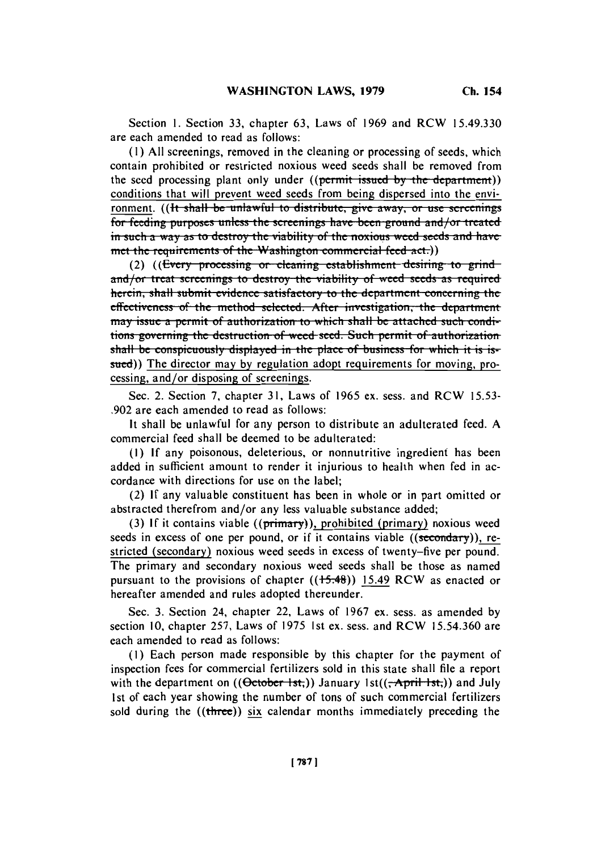Section **1.** Section **33,** chapter **63,** Laws of **1969** and RCW **15.49.330** are each amended to read as follows:

**(I ) All** screenings, removed in the cleaning or processing of seeds, which contain prohibited or restricted noxious weed seeds shall be removed from the seed processing plant only under ((permit issued by the department)) conditions that will prevent weed seeds from being dispersed into the environment. ((It shall be unlawful to distribute, give away, or use screenings for feeding purposes unless the screenings have been ground and/or treated in such a way as to destroy the viability of the noxious weed seeds and have met the requirements of the Washington commercial feed act.)

(2) ((Every processing or cleaning establishment desiring to grind and/or treat screenings to destroy the viability of weed seeds as requi herein, shall submit evidence satisfactory to the department concerning the effectiveness of the method selected. After investigation, the department **may issue a permit of authorization to which shall be attached such condi-11135 the superming the destruction of weed seed. Such permit of authorization** shall be conspicuously displayed in the place of business for which it is issued)) The director may **by** regulation adopt requirements for moving, pro- cessing, and/or disposing of screenings.

Sec. 2. Section **7,** chapter **31,** Laws of **1965** ex. sess. and RCW **15.53- .902** are each amended to read as follows:

It shall be unlawful for any person to distribute an adulterated **feed. A** commercial feed shall be deemed to be adulterated:

**(I) If** any poisonous, deleterious, or nonnutritive ingredient has been added in sufficient amount to render it injurious to health when fed in accordance with directions for use on the label;

(2) **If** any valuable constituent has been in whole or in part omitted or abstracted therefrom and/or any less valuable substance added;

**(3) If** it contains viable ((primary)), prohibited (primary) noxious weed seeds in excess of one per pound, or if it contains viable ((secondary)), restricted (secondary) noxious weed seeds in excess of twenty-five per pound. The primary and secondary noxious weed seeds shall **be** those as named pursuant to the provisions of chapter  $((15.48))$  15.49 RCW as enacted or hereafter amended and rules adopted thereunder.

Sec. **3.** Section 24, chapter 22, Laws of **1967** ex. sess. as amended **by** section **10,** chapter **257,** Laws of **1975** 1st ex. sess. and RCW **15.54.360** are each amended to read as follows:

**(1)** Each person made responsible **by** this chapter for the payment of inspection fees for commercial fertilizers sold in this state shall file a report with the department on  $((\thetactober-1st))$  January 1st $((\thetactor-1-st))$  and July 1st of each year showing the number of tons of such commercial fertilizers sold during the ((three)) six calendar months immediately preceding the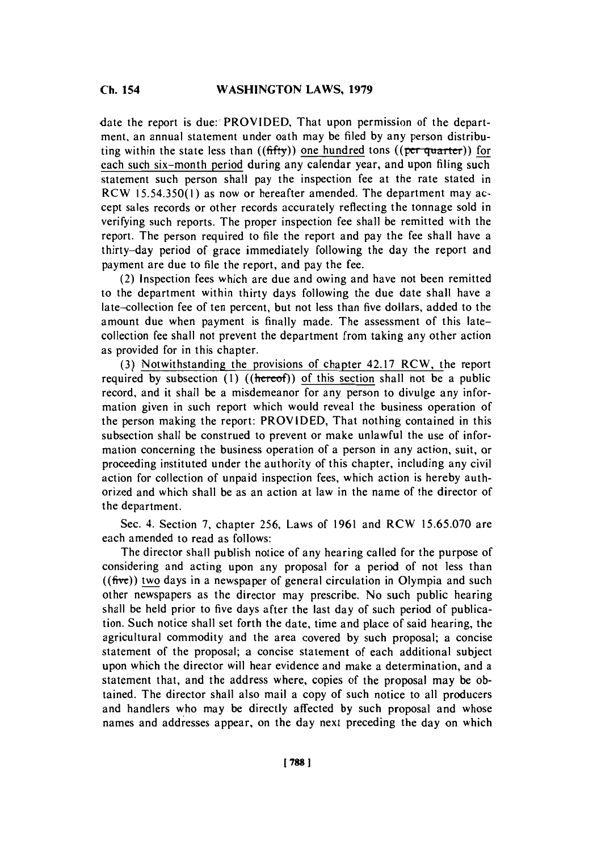date the report is due: PROVIDED, That upon permission of the department, an annual statement under oath may be filed **by** any person distributing within the state less than  $((\text{ffty}))$  one hundred tons  $((\text{per quarter}))$  for each such six-month period during any calendar year, and upon filing such statement such person shall pay the inspection fee at the rate stated in RCW **1 5.54.350(1)** as now or hereafter amended. The department may accept sales records or other records accurately reflecting the tonnage sold in verifying such reports. The proper inspection fee shall be remitted with the report. The person required to file the report and pay the fee shall have a thirty-day period of grace immediately following the day the report and payment are due to file the report, and pay the fee.

(2) Inspection fees which are due and owing and have not been remitted to the department within thirty days following the due date shall have a late-collection fee of ten percent, but not less than five dollars, added to the amount due when payment is finally made. The assessment of this latecollection fee shall not prevent the department from taking any other action as provided for in this chapter.

**(3)** Notwithstanding the provisions of chapter 42.17 RCW, the report required **by** subsection **(I)** ((hereof)) of this section shall not be a public record, and it shall **be** a misdemeanor for any person to divulge any information given in such report which would reveal the business operation of the person making the report: PROVIDED, That nothing contained in this subsection shall be construed to prevent or make unlawful the use of information concerning the business operation of a person in any action, suit, or proceeding instituted under the authority of this chapter, including any civil action for collection of unpaid inspection fees, which action is hereby authorized and which shall be as an action at law in the name of the director of the department.

Sec. 4. Section **7,** chapter **256,** Laws of **1961** and RCW **15.65.070** are each amended to read as follows:

The director shall publish notice of any hearing called for the purpose of considering and acting upon any proposal for a period of not less than **((fire))** two days in a newspaper of general circulation in Olympia and such other newspapers as the director may prescribe. No such public hearing shall be held prior to five days after the last day of such period of publication. Such notice shall set forth the date, time and place of said hearing, the agricultural commodity and the area covered **by** such proposal; a concise statement of the proposal; a concise statement of each additional subject upon which the director will hear evidence and make a determination, and a statement that, and the address where., copies of the proposal may be obtained. The director shall also mail a copy of such notice to all producers and handlers who may be directly affected **by** such proposal and whose names and addresses appear, on the day next preceding the day on which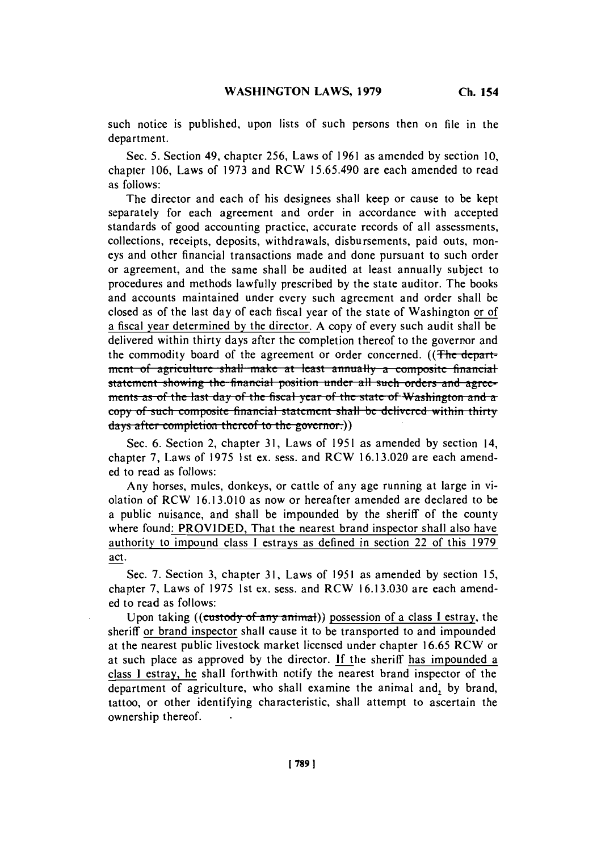such notice is published, upon lists of such persons then on file in the department.

Sec. **5.** Section 49, chapter **256,** Laws of **1961** as amended **by** section **10,** chapter **106,** Laws of **1973** and **RCW 15.65.490** are each amended to read as follows:

The director and each of his designees shall keep or cause to be kept separately for each agreement and order in accordance with accepted standards of good accounting practice, accurate records of all assessments, collections, receipts, deposits, withdrawals, disbursements, paid outs, moneys and other financial transactions made and done pursuant to such order or agreement, and the same shall be audited at least annually subject to procedures and methods lawfully prescribed **by** the state auditor. The books and accounts maintained under every such agreement and order shall be closed as of the last day of each fiscal year of the state of Washington or of a fiscal year determined **by** the director. **A** copy of every such audit shall **be** delivered within thirty days after the completion thereof to the governor and the commodity board of the agreement or order concerned. ((The depart**inent of agriculture shall make at least annually a composite financial** statement showing the financial position under all such orders and agreements as of the last day of the fiscal year of the state of Washington and acopy of such composite financial statement shall be delivered within thirty days after completion thereof to the governor.))

Sec. **6.** Section 2, chapter **31,** Laws of **1951** as amended **by** section 14, chapter **7,** Laws of **1975** 1st ex. sess. and **RCW 16.13.020** are each amended to read as follows:

Any horses, mules, donkeys, or cattle of any age running at large in violation of RCW **16.13.010** as now or hereafter amended are declared to be a public nuisance, and shall be impounded **by** the sheriff of the county where found: PROVIDED, That the nearest brand inspector shall also have authority to impound class **I** estrays as defined in section 22 of this **1979** act.

Sec. **7.** Section **3,** chapter **31,** Laws of **1951** as amended **by** section **15,** chapter **7,** Laws of **1975** 1st ex. sess. and RCW **16.13.030** are each amend**ed** to read as follows:

Upon taking ((custody of any animal)) possession of a class I estray, the sheriff or brand inspector shall cause it to be transported to and impounded at the nearest public livestock market licensed under chapter **16.65** RCW or at such place as approved **by** the director. **If** the sheriff has impounded a class **I** estray, he shall forthwith notify the nearest brand inspector of the department of agriculture, who shall examine the animal and, **by** brand, tattoo, or other identifying characteristic, shall attempt to ascertain the ownership thereof.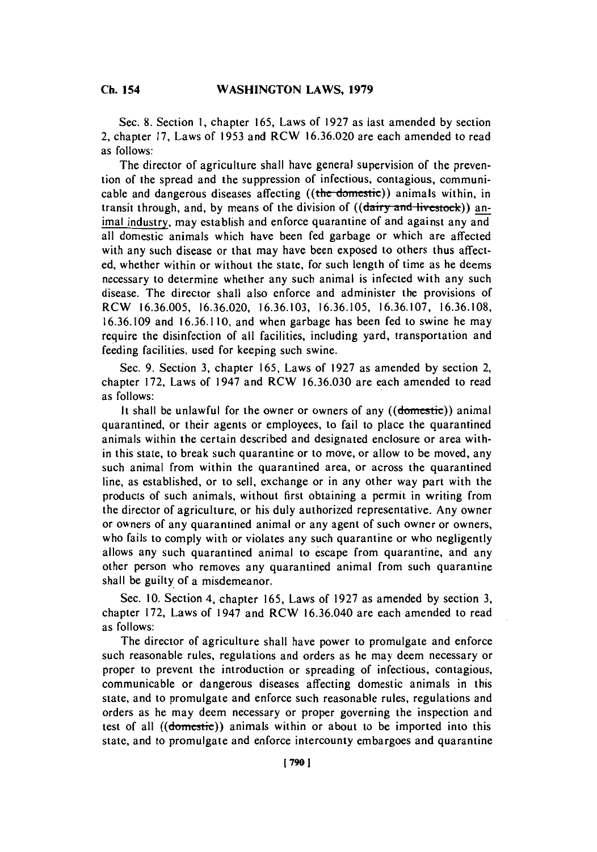Sec. **8.** Section **1,** chapter **165,** Laws of **1927** as last amended **by** section 2, chapter **17,** Laws of **1953** and RCW **16.36.020** are each amended to read as follows:

The director of agriculture shall have general supervision of the prevention of the spread and the suppression of infectious, contagious, communicable and dangerous diseases affecting ((the-domestic)) animals within, in transit through, and, by means of the division of *((dairy and livestock))* animal industry, may establish and enforce quarantine of and against any and all domestic animals which have been fed garbage or which are affected with any such disease or that may have been exposed to others thus affected, whether within or without the state, for such length of time as he deems necessary to determine whether any such animal is infected with any such disease. The director shall also enforce and administer the provisions of RCW **16.36.005, 16.36.020, 16.36.103, 16.36.105, 16.36.107, 16.36.108, 16.36.109** and **16.36.1 10,** and when garbage has been fed to swine he may require the disinfection of all facilities, including yard, transportation and feeding facilities, used for keeping such swine.

Sec. **9.** Section **3,** chapter **165,** Laws of **1927** as amended **by** section 2, chapter **172,** Laws of 1947 and RCW **16.36.030** are each amended to read as follows:

It shall be unlawful for the owner or owners of any ((domestic)) animal quarantined, or their agents or employees, to fail to place the quarantined animals within the certain described and designated enclosure or area within this state, to break such quarantine or to move, or allow to be moved, any such animal from within the quarantined area, or across the quarantined line, as established, or to sell, exchange or in any other way part with the products of such animals, without first obtaining a permit in writing from the director of agriculture, or his duly authorized representative. Any owner or owners of any quarantined animal or any agent of such owner or owners, who fails to comply with or violates any such quarantine or who negligently allows any such quarantined animal to escape from quarantine, and any other person who removes any quarantined animal from such quarantine shall be guilty of a misdemeanor.

**Sec. 10.** Section 4, chapter **165,** Laws of **1927** as amended **by** section **3,** chapter **172,** Laws of 1947 and RCW **16.36.040** are each amended to read as follows:

The director of agriculture shall have power to promulgate and enforce such reasonable rules, regulations and orders as he may deem necessary or proper to prevent the introduction or spreading of infectious, contagious, communicable or dangerous diseases affecting domestic animals in this state, and to promulgate and enforce such reasonable rules, regulations and orders as he may deem necessary or proper governing the inspection and test of all ((domestic)) animals within or about to be imported into this state, and to promulgate and enforce intercounty embargoes and quarantine

**Ch.** 154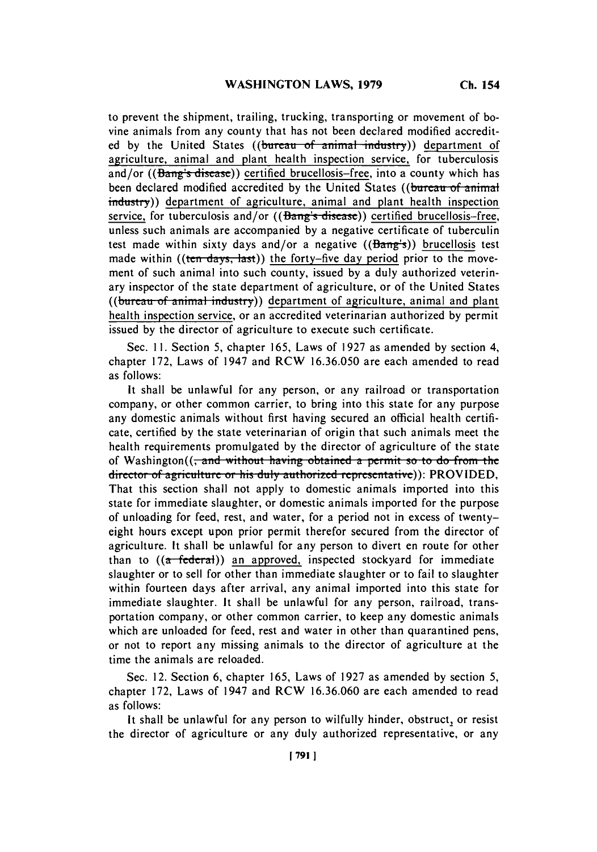to prevent the shipment, trailing, trucking, transporting or movement of bovine animals from any county that has not been declared modified accredited by the United States ((bureau of animal industry)) department of agriculture, animal and plant health inspection service, for tuberculosis and/or  $((\theta_{\text{ang}}\mid \text{s} \text{ disease}))$  certified brucellosis-free, into a county which has been declared modified accredited by the United States ((bureau of animal industry)) department of agriculture, animal and plant health inspection service, for tuberculosis and/or  $((\overline{\text{Bang's disease}}))$  certified brucellosis-free, unless such animals are accompanied **by** a negative certificate of tuberculin test made within sixty days and/or a negative  $((\overline{Bang's}))$  brucellosis test made within ((ten days, last)) the forty-five day period prior to the movement of such animal into such county, issued **by** a duly authorized veterinary inspector of the state department of agriculture, or of the United States ((bureau of animal industry)) department of agriculture, animal and plant health inspection service, or an accredited veterinarian authorized **by** permit issued **by** the director of agriculture to execute such certificate.

Sec. **11.** Section *5,* chapter *165,* Laws of **1 927** as amended **by** section 4, chapter **172,** Laws of 1947 and RCW **16.36.050** are each amended to read as follows:

It shall be unlawful for any person, or any railroad or transportation company, or other common carrier, to bring into this state for any purpose any domestic animals without first having secured an official health certificate, certified **by** the state veterinarian of origin that such animals meet the health requirements promulgated **by** the director of agriculture of the state of Washington((<del>, and without having obtained a permit so to do from the</del>. director of agriculture or his duly authorized representative): PROVIDED, That this section shall not apply to domestic animals imported into this state for immediate slaughter, or domestic animals imported for the purpose of unloading for feed, rest, and water, for a period not in excess of twentyeight hours except upon prior permit therefor secured from the director of agriculture. It shall be unlawful for any person to divert en route for other than to  $((a - federal))$  an approved, inspected stockyard for immediate slaughter or to sell for other than immediate slaughter or to fail to slaughter within fourteen days after arrival, any animal imported into this state for immediate slaughter. It shall be unlawful for any person, railroad, transportation company, or other common carrier, to keep any domestic animals which are unloaded for feed, rest and water in other than quarantined pens, or not to report any missing animals to the director of agriculture at the time the animals are reloaded.

Sec. 12. Section **6,** chapter **165,** Laws of **1927** as amended **by** section **5,** chapter **172,** Laws of 1947 and RCW **16.36.060** are each amended to read as follows:

It shall be unlawful for any person to wilfully hinder, obstruct, or resist the director of agriculture or any duly authorized representative, or any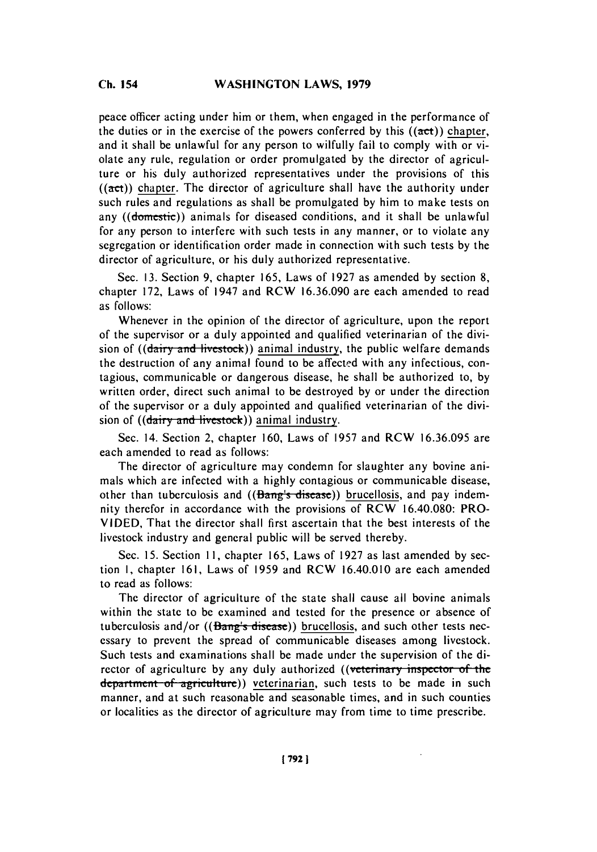#### Ch **154WASHINGTON LAWS, 1979 Ch.** 154

peace officer acting under him or them, when engaged in the performance of the dutics or in the exercise of the powers conferred **by** this **((act))** chapter, and it shall be unlawful for any person to wilfully fail to comply with or violate any rule, regulation or order promulgated **by** the director of agriculture or his duly authorized representatives under the provisions of this  $((\text{act}))$  chapter. The director of agriculture shall have the authority under such rules and regulations as shall be promulgated **by** him to make tests on any ((domestic)) animals for diseased conditions, and it shall be unlawful for any person to interfere with such tests in any manner, or to violate any segregation or identification order made in connection with such tests **by** the director of agriculture, or his duly authorized representative.

Sec. **13.** Section **9,** chapter **165,** Laws of **1927** as amended **by** section **8,** chapter **172,** Laws of 1947 and RCW **16.36.090** are each amended to read as follows:

Whenever in the opinion of the director of agriculture, upon the report of the supervisor or a duly appointed and qualified veterinarian of the division of ((dairy and livestock)) animal industry, the public welfare demands the destruction of any animal found to be affected with any infectious, contagious, communicable or dangerous disease, he shall be authorized to, **by** written order, direct such animal to be destroyed **by** or under the direction of the supervisor or a duly appointed and qualified veterinarian of the division of  $((\frac{dairy}{and} + \frac{dircstock}{)})$  animal industry.

Sec. 14. Section 2, chapter **160,** Laws of **1957** and RCW **16.36.095** are each amended to read as follows:

The director of agriculture may condemn for slaughter any bovine animals which are infected with a **highly** contagious or communicable disease, other than tuberculosis and  $((\text{Bang's disease}))$  brucellosis, and pay indemnity therefor in accordance with the provisions of RCW 16.40.080: PRO-**VIDED,** That the director shall first ascertain that the best interests of the livestock industry and general public will be served thereby.

Sec. **15.** Section **11,** chapter **165,** Laws of **1927** as last amended **by** section **I,** chapter **161,** Laws of **1959** and RCW 16.40.010 are each amended to read as follows:

The director of agriculture of the state shall cause all bovine animals within the state to **be** examined and tested for the presence or absence of tuberculosis and/or  $((\text{Bang's disease})$  brucellosis, and such other tests necessary to prevent the spread of communicable diseases among livestock. Such tests and examinations shall be made under the supervision of the director of agriculture by any duly authorized ((veterinary inspector of the department of agriculture)) veterinarian, such tests to be made in such manner, and at such reasonable and seasonable times, and in such counties or localities as the director of agriculture may from time to time prescribe.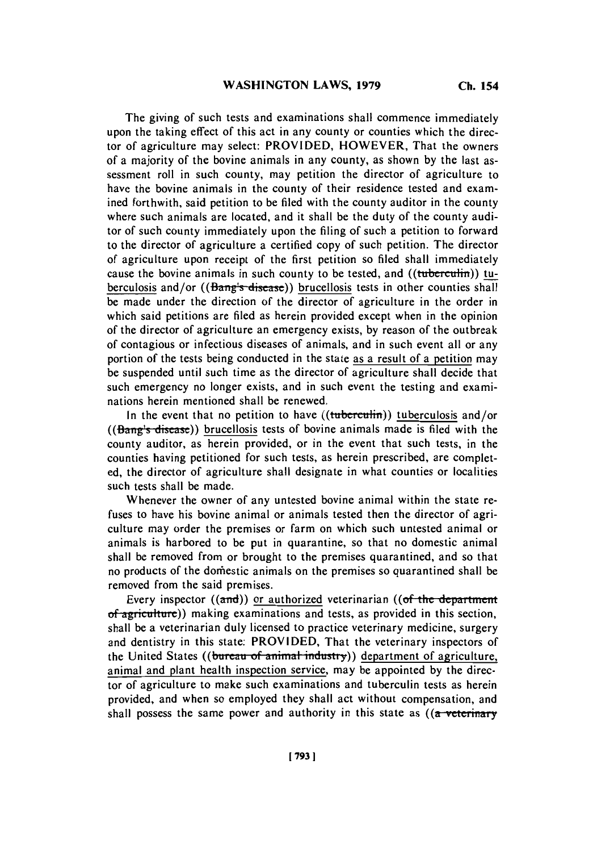The giving of such tests and examinations shall commence immediately upon the taking effect of this act in any county or counties which the director of agriculture may select: PROVIDED, HOWEVER, That the owners of a majority of the bovine animals in any county, as shown **by** the last assessment roll in such county, may petition the director of agriculture to have the bovine animals in the county of their residence tested and examined forthwith, said petition to be filed with the county auditor in the county where such animals are located, and **it** shall be the duty of the county auditor of such county immediately upon the filing of such a petition to forward to the director of agriculture a certified copy of such petition. The director of agriculture upon receipt of the first petition so filed shall immediately cause the bovine animals in such county to be tested, and ((tuberculin)) tuberculosis and/or ( $(\overline{Bang's \text{ disease}})$ ) brucellosis tests in other counties shall be made under the direction of the director of agriculture in the order in which said petitions are filed as herein provided except when in the opinion of the director of agriculture an emergency exists, **by** reason of the outbreak of contagious or infectious diseases of animals, and in such event all or any portion of the tests being conducted in the state as a result of a petition may **be** suspended until such time as the director of agriculture shall decide that such emergency no longer exists, and in such event the testing and examinations herein mentioned shall be renewed.

In the event that no petition to have  $((\text{tuberculin}))$  tuberculosis and/or ( $(B\text{ang's disease})$ ) brucellosis tests of bovine animals made is filed with the county auditor, as herein provided, or in the event that such tests, in the counties having petitioned for such tests, as herein prescribed, are completed, the director of agriculture shall designate in what counties or localities such tests shall be made.

Whenever the owner of any untested bovine animal within the state refuses to have his bovine animal or animals tested then the director of agriculture may order the premises or farm on which such untested animal or animals is harbored to be put in quarantine, so that no domestic animal shall be removed from or brought to the premises quarantined, and so that no products of the domestic animals on the premises so quarantined shall be removed from the said premises.

Every inspector ((and)) or authorized veterinarian ((of the department of agriculture)) making examinations and tests, as provided in this section. shall be a veterinarian duly licensed to practice veterinary medicine, surgery and dentistry in this state: PROVIDED, That the veterinary inspectors of the United States ((bureau of animal industry)) department of agriculture, animal and plant health inspection service, may be appointed **by** the director of agriculture to make such examinations and tuberculin tests as herein provided, and when so employed they shall act without compensation, and shall possess the same power and authority in this state as  $($ a veterinary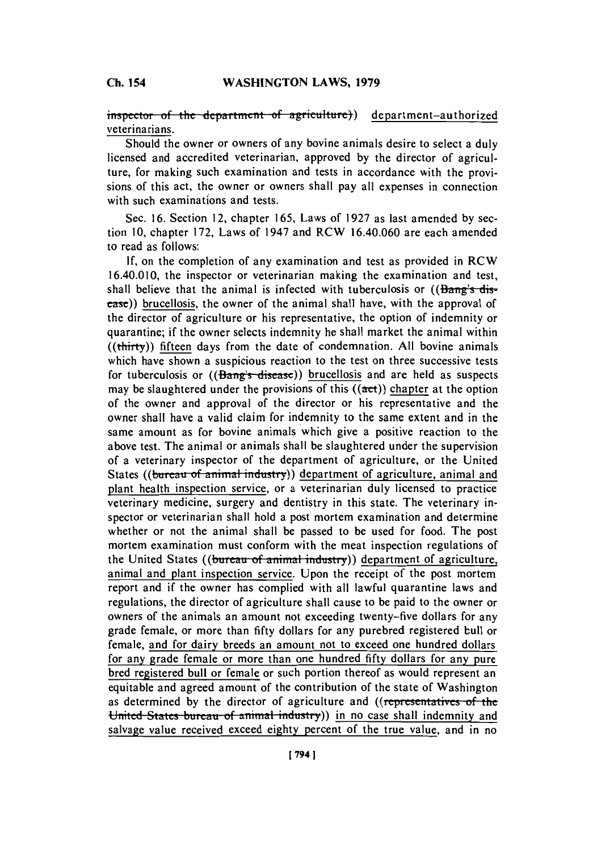**inspector** of the department of agriculture)) department-authorized veterinarians.

Should the owner or owners of any bovine animals desire to select a duly licensed and accredited veterinarian, approved **by** the director of agriculture, for making such examination and tests in accordance with the provisions of this act, the owner or owners shall pay all expenses in connection with such examinations and tests.

Sec. 16. Section 12, chapter 165, Laws of 1927 as last amended by section **10,** chapter **172,** Laws of 1947 and RCW 16.40.060 are each amended to read as follows:

**If,** on the completion of any examination and test as provided in RCW 16.40.010, the inspector or veterinarian making the examination and test, shall believe that the animal is infected with tuberculosis or  $($ Bang's-dis- $\frac{1}{\sqrt{1-\epsilon}}$ ) brucellosis, the owner of the animal shall have, with the approval of the director of agriculture or his representative, the option of indemnity or quarantine; if the owner selects indemnity he shall market the animal within  $((**thirtv**))$  fifteen days from the date of condemnation. All bovine animals which have shown a suspicious reaction to the test on three successive tests for tuberculosis or  $((\text{Bang's disease})$  brucellosis and are held as suspects may be slaughtered under the provisions of this  $((act))$  chapter at the option of the owner and approval of the director or his representative and the owner shall have a valid claim for indemnity to the same extent and in the same amount as for bovine animals which give a positive reaction to the above test. The animal or animals shall be slaughtered under the supervision of a veterinary inspector of the department of agriculture, or the United States ((bureau of animal industry)) department of agriculture, animal and plant health inspection service, or a veterinarian duly licensed to practice veterinary medicine, surgery and dentistry in this state. The veterinary inspector or veterinarian shall hold a post mortem examination and determine whether or not the animal shall be passed to be used for food. The post mortem examination must conform with the meat inspection regulations of the United States ((bureau of animal industry)) department of agriculture, animal and plant inspection service. Upon the receipt of the post mortem report and if the owner has complied with all lawful quarantine laws and regulations, the director of agriculture shall cause to be paid to the owner or owners of the animals an amount not exceeding twenty-five dollars for any grade female, or more than **fifty** dollars for any purebred registered bull or female, and for dairy breeds an amount not to exceed one hundred dollars for any grade female or more than one hundred **fifty** dollars for any pure bred registered bull or female or such portion thereof as would represent an equitable and agreed amount of the contribution of the state of Washington as determined by the director of agriculture and ((representatives of the United States bureau of animal industry)) in no case shall indemnity and salvage value received exceed eighty percent of the true value, and in no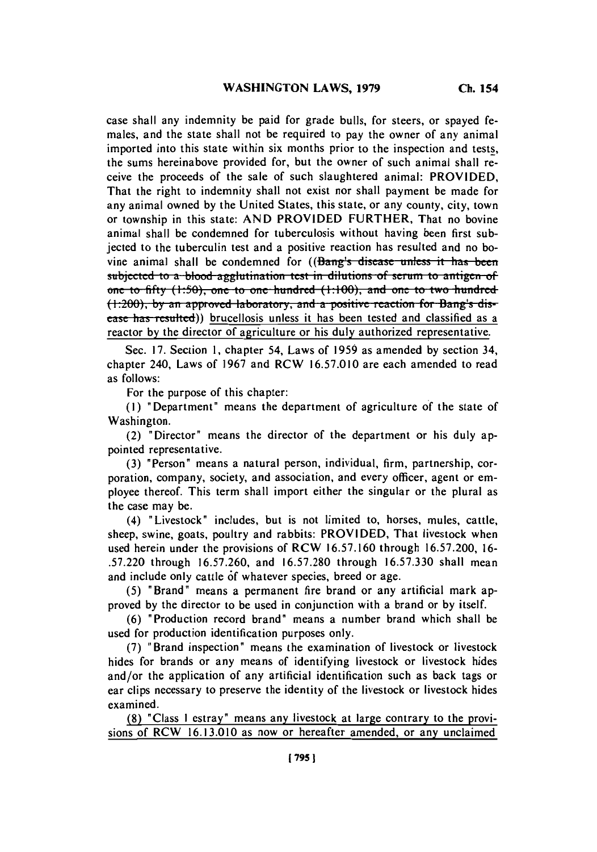case shall any indemnity be paid for grade bulls, for steers, or spayed females, and the state shall not be required to pay the owner of any animal imported into this state within six months prior to the inspection and tests, the sums hereinabove provided for, but the owner of such animal shall receive the proceeds of the sale of such slaughtered animal: PROVIDED, That the right to indemnity shall not exist nor shall payment be made for any animal owned **by** the United States, this state, or any county, city, town or township in this state: **AND** PROVIDED FURTHER, That no bovine animal shall be condemned for tuberculosis without having been first subjected to the tuberculin test and a positive reaction has resulted and no bovine animal shall be condemned for ((Bang's disease unless it has been sujce **to.. a** blood **agglutuination teat** in **dilations,** of **=tnuii toj** ant~igenof one to fifty (1:50), one to one hundred (1:100), and one to two hundred (1:200), by an approved laboratory, and a positive reaction for Bang's disease has resulted)) brucellosis unless it has been tested and classified as a reactor **by** the director of agriculture or his duly authorized representative.

Sec. **17.** Section **1,** chapter 54, Laws of **1959** as amended **by** section 34, chapter 240, Laws of **1967** and RCW **16.57.010** are each amended to read as follows:

For the purpose of this chapter:

**(1)** "Department" means the department of agriculture of the state of Washington.

(2) "Director" means the director of the department or his duly appointed representative.

**(3)** "Person" means a natural person, individual, firm, partnership, corporation, company, society, and association, and every officer, agent or employee thereof. This term shall import either the singular or the plural as the case may be.

(4) "Livestock" includes, but is not limited to, horses, mules, cattle, sheep, swine, goats, poultry and rabbits: PROVIDED, That livestock when used herein under the provisions of RCW **16.57.160** through **16.57.200, 16- .57.220** through **16.57.260,** and **16.57.280** through **16.57.330** shall mean and include only cattle **6f** whatever species, breed or age.

**(5)** "Brand" means a permanent fire brand or any artificial mark approved **by** the director to be used in conjunction with a brand or **by** itself.

**(6)** "Production record brand" means a number brand which shall be used for production identification purposes only.

**(7)** "Brand inspection" means the examination of livestock or livestock hides for brands or any means of identifying livestock or livestock hides and/or the application of any artificial identification such as back tags or ear clips necessary to preserve the identity of the livestock or livestock hides examined.

**(8)** "Class **I** estray" means any livestock at large contrary to the provisions of RCW **16.13.010** as now or hereafter amended, or any unclaimed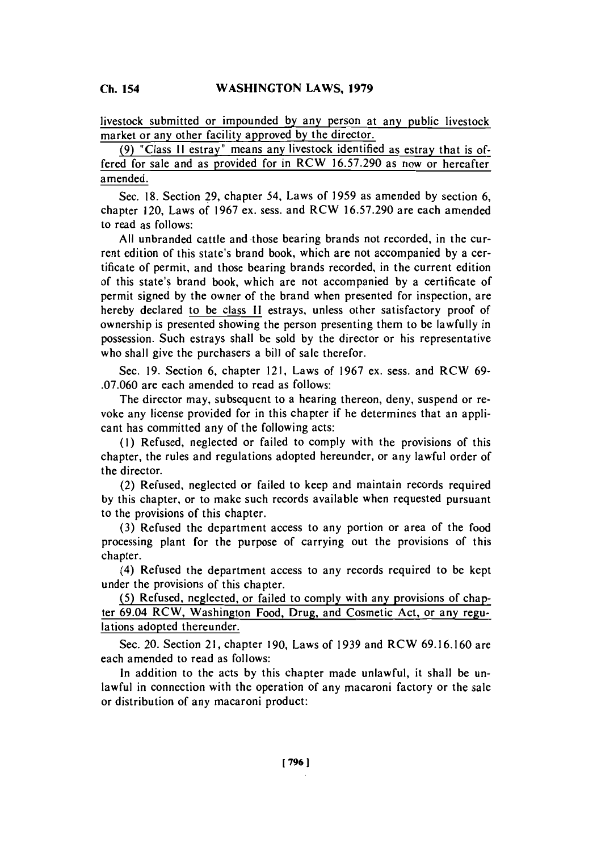**Ch.** 154

livestock submitted or impounded **by** any person at any public livestock market or any other facility approved **by** the director.

**(9)** "Class **11** estray" means any livestock identified as estray that is offered for sale and as provided for in RCW **16.57.290** as now or hereafter amended.

Sec. **18.** Section **29,** chapter 54, Laws of **1959** as amended **by** section **6,** chapter 120, Laws of **1967** ex. sess. and RCW **16.57.290** are each amended to read as follows:

**All** unbranded cattle and -those bearing brands not recorded, in the current edition of this state's brand book, which are not accompanied **by** a certificate of permit, and those bearing brands recorded, in the current edition of this state's brand book, which are not accompanied **by** a certificate of permit signed **by** the owner of the brand when presented for inspection, are hereby declared to be class **11** estrays, unless other satisfactory proof of ownership is presented showing the person presenting them to be lawfully in possession. Such estrays shall be sold **by** the director or his representative who shall give the purchasers a bill of sale therefor.

Sec. **19.** Section **6,** chapter 121, Laws of **1967** ex. sess. and RCW **69- .07.060** are each amended to read as follows:

The director may, subsequent to a hearing thereon, deny, suspend or revoke any license provided for in this chapter if he determines that an applicant has committed any of the following acts:

**(1)** Refused, neglected or failed to comply with the provisions of this chapter, the rules and regulations adopted hereunder, or any lawful order of the director.

(2) Refused, neglected or failed to keep and maintain records required **by** this chapter, or to make such records available when requested pursuant to the provisions of this chapter.

**(3)** Refused the department access to any portion or area of the food processing plant for the purpose of carrying out the provisions of this chapter.

(4) Refused the department access to any records required to be kept under the provisions of this chapter.

**(5)** Refused, neglected, or failed to comply with any provisions of chapter 69.04 RCW, Washington Food, Drug, and Cosmetic Act, or any regulations adopted thereunder.

Sec. 20. Section 21, chapter **190,** Laws of **1939** and RCW **69.16.160** are each amended to read as follows:

In addition to the acts **by** this chapter made unlawful, it shall be unlawful in connection with the operation of any macaroni factory or the sale or distribution of any macaroni product: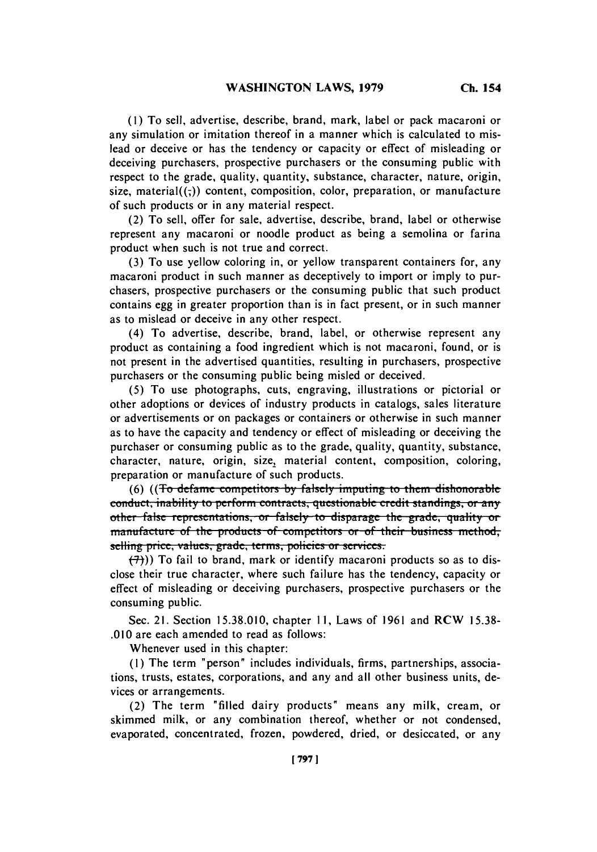**(1) To** sell, advertise, describe, brand, mark, label or pack macaroni or any simulation or imitation thereof in a manner which is calculated to mislead or deceive or has the tendency or capacity or effect of misleading or deceiving purchasers, prospective purchasers or the consuming public with respect to the grade, quality, quantity, substance, character, nature, origin, size, material $((,))$  content, composition, color, preparation, or manufacture of such products or in any material respect.

(2) To sell, offer for sale, advertise, describe, brand, label or otherwise represent any macaroni or noodle product as being a semolina or farina product when such is not true and correct.

**(3)** To use yellow coloring in, or yellow transparent containers for, any macaroni product in such manner as deceptively to import or imply to purchasers, prospective purchasers or the consuming public that such product contains egg in greater proportion than is in fact present, or in such manner as to mislead or deceive in any other respect.

(4) To advertise, describe, brand, label, or otherwise represent any product as containing a food ingredient which is not macaroni, found, or is not present in the advertised quantities, resulting in purchasers, prospective purchasers or the consuming public being misled or deceived.

**(5)** To use photographs, cuts, engraving, illustrations or pictorial or other adoptions or devices of industry products in catalogs, sales literature or advertisements or on packages or containers or otherwise in such manner as to have the capacity and tendency or effect of misleading or deceiving the purchaser or consuming public as to the grade, quality, quantity, substance, character, nature, origin, size, material content, composition, coloring, preparation or manufacture of such products.

**(6) ((To defame competitors by falsely imputing to them dishonorable** conduct, inability to perform contracts, questionable credit standings, or any other false representations, or falsely to disparage the grade, quality or manufacture of the products of competitors or of their business method, selling price, values, grade, terms, policies or services.

 $(\overline{7})$ ) To fail to brand, mark or identify macaroni products so as to disclose their true character, where such failure has the tendency, capacity or effect of misleading or deceiving purchasers, prospective purchasers or the consuming public.

Sec. 21. Section **15.38.010,** chapter **11,** Laws of **1961** and RCW **15.38- .010** are each amended to read as follows:

Whenever used in this chapter:

**(1)** The term "person" includes individuals, firms, partnerships, associations, trusts, estates, corporations, and any and all other business units, devices or arrangements.

(2) The term "filled dairy products" means any milk, cream, or skimmed milk, or any combination thereof, whether or not condensed, evaporated, concentrated, frozen, powdered, dried, or desiccated, or any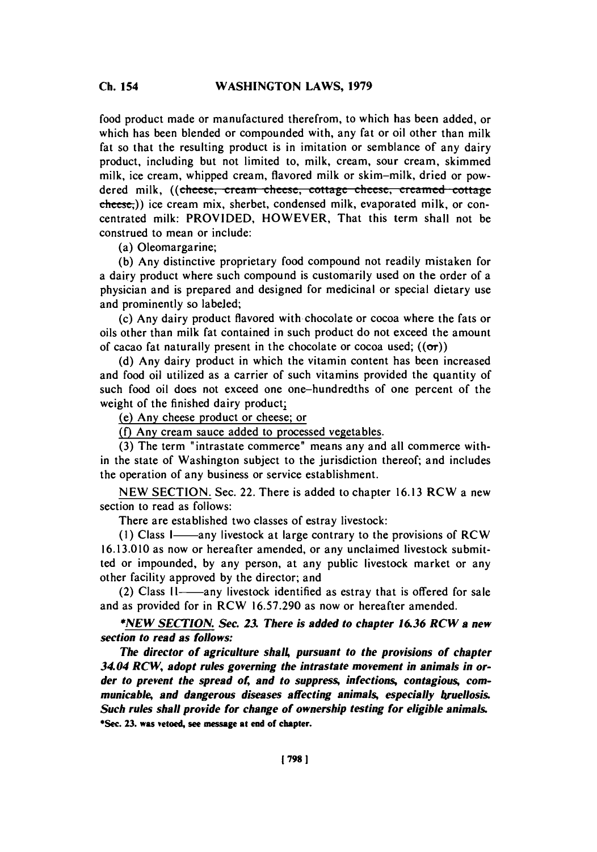food product made or manufactured therefrom, to which has been added, or which has been blended or compounded with, any fat or oil other than milk fat so that the resulting product is in imitation or semblance of any dairy product, including but not limited to, milk, cream, sour cream, skimmed milk, ice cream, whipped cream, flavored milk or skim-milk, dried or powdered milk, ((cheese, cream cheese, cottage cheese, creamed cottage cheese,)) ice cream mix, sherbet, condensed milk, evaporated milk, or concentrated milk: PROVIDED, HOWEVER, That this term shall not be construed to mean or include:

(a) Oleomargarine;

**(b)** Any distinctive proprietary food compound not readily mistaken for a dairy product where such compound is customarily used on the order of a physician and is prepared and designed for medicinal or special dietary use and prominently so labeled;

(c) Any dairy product flavored with chocolate or cocoa where the fats or oils other than milk fat contained in such product do not exceed the amount of cacao fat naturally present in the chocolate or cocoa used;  $((\sigma r))$ 

**(d)** Any dairy product in which the vitamin content has been increased and food oil utilized as a carrier of such vitamins provided the quantity of such food oil does not exceed one one-hundredths of one percent of the weight of the finished dairy product;

(e) Any cheese product or cheese; or

**(f)** Any cream sauce added to processed vegetables.

**(3)** The term "intrastate commerce" means any and all commerce within the state of Washington subject to the jurisdiction thereof; and includes the operation of any business or service establishment.

**NEW SECTION.** Sec. 22. There is added to chapter **16.13** RCW a new section to read as follows:

There are established two classes of estray livestock:

(1) Class I-any livestock at large contrary to the provisions of RCW **16.13.010** as now or hereafter amended, or any unclaimed livestock submitted or impounded, **by** any person, at any public livestock market or any other facility approved **by** the director; and

(2) Class II-any livestock identified as estray that is offered for sale and as provided for in RCW **16.57.290** as now or hereafter amended.

**\*NEW** *SECTION. Sec. 23. There is added to chapter 16.36 RCWa new* **section to read as follows:**

**The director of agriculture shalL pursuant to the provisions of chapter 34.04 RCW, adopt rules governing the intrastate movement in animals in order to prevent the spread of, and to suppress, infections, contagious, communicable, and dangerous diseases affecting animals, especially bruellosis. Such rules shall provide for change of ownership testing for eligible animals. \*Sec. 23. was vetoed, see message at end of chapter.**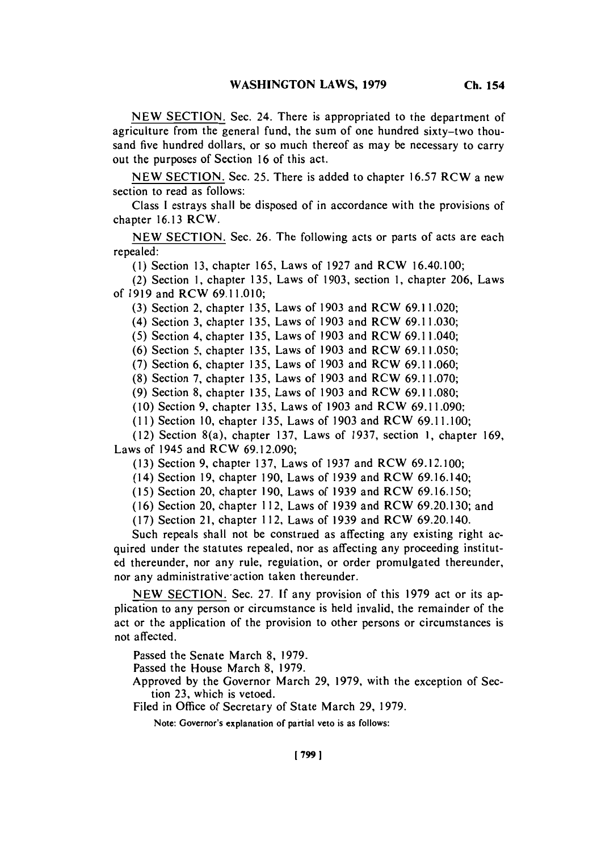**NEW SECTION.** Sec. 24. There is appropriated to the department of agriculture from the general fund, the sum of one hundred sixty-two thousand five hundred dollars, or so much thereof as may be necessary to carry out the purposes of Section **16** of this act.

**NEW SECTION.** Sec. **25.** There is added to chapter **16.57** RCW a new section to read as follows:

Class **I** estrays shall be disposed of in accordance with the provisions of chapter **16.13** RCW.

**NEW SECTION.** Sec. **26.** The following acts or parts of acts are each repealed:

**(1)** Section **13,** chapter **165,** Laws of **1927** and RCW 16.40.100;

(2) Section **1,** chapter **135,** Laws of **1903,** section **1,** chapter **206,** Laws of **1919** and RCW **69.11.010;**

**(3)** Section 2, chapter **135,** Laws of **1903** and RCW **69.11.020;**

(4) Section **3,** chapter **135,** Laws of **1903** and RCW **69.11.030;**

**(5)** Section 4, chapter **135,** Laws of **1903** and RCW 69.11.040;

**(6)** Section **5,** chapter **135,** Laws of **1903** and RCW **69.11.050;**

**(7)** Section **6,** chapter **135,** Laws of **1903** and RCW **69.11.060;**

**(8)** Section **7,** chapter **135,** Laws of **1903** and RCW **69.11.070;**

**(9)** Section **8,** chapter **135,** Laws of **1903** and RCW **69.11.080;**

**(10)** Section **9,** chapter **135,** Laws of **1903** and RCW **69.11.090;**

**(11)** Section **10,** chapter **13 5,** Laws of **1903** and RCW **69.11. 100;**

(12) Section 8(a), chapter **137,** Laws of **1937,** section **1,** chapter **169,** Laws of 1945 and RCW **69.12.090;**

**(13)** Section **9,** chapter **137,** Laws of **1937** and RCW **69.12.100;**

(14) Section **19,** chapter **190,** Laws of **1939** and RCW 69.16.140;

**(15)** Section 20, chapter **190,** Laws of **1939** and RCW **69.16.150;**

**(16)** Section 20, chapter **112,** Laws of **1939** and RCW **69.20.130;** and

**(17)** Section 2 **1,** chapter **112,** Laws of **1939** and RCW 69.20.140.

Such repeals shall not be construed as affecting any existing right acquired under the statutes repealed, nor as affecting any proceeding instituted thereunder, nor any rule, regulation, or order promulgated thereunder, nor any administrative action taken thereunder.

**NEW SECTION.** Sec. **27. If** any provision of this **1979** act or its application to any person or circumstance is held invalid, the remainder of the act or the application of the provision to other persons or circumstances is not affected.

Passed the Senate March **8, 1979.**

Passed the House March **8, 1979.**

Approved **by** the Governor March **29, 1979,** with the exception of Section **23,** which is vetoed.

Filed in Office of Secretary of State March **29, 1979.**

Note: Governor's explanation of partial veto is as follows:

**[799 1**